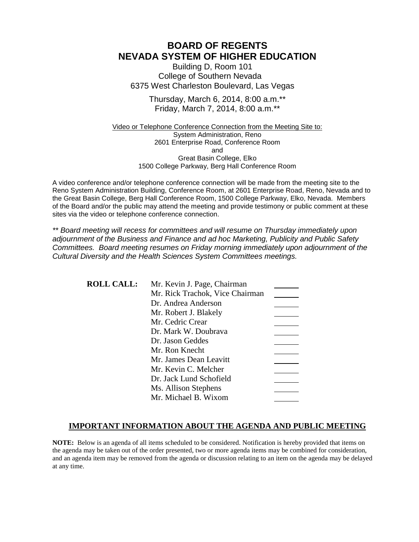# **BOARD OF REGENTS NEVADA SYSTEM OF HIGHER EDUCATION**

Building D, Room 101 College of Southern Nevada 6375 West Charleston Boulevard, Las Vegas

> Thursday, March 6, 2014, 8:00 a.m.\*\* Friday, March 7, 2014, 8:00 a.m.\*\*

Video or Telephone Conference Connection from the Meeting Site to: System Administration, Reno 2601 Enterprise Road, Conference Room and Great Basin College, Elko 1500 College Parkway, Berg Hall Conference Room

A video conference and/or telephone conference connection will be made from the meeting site to the Reno System Administration Building, Conference Room, at 2601 Enterprise Road, Reno, Nevada and to the Great Basin College, Berg Hall Conference Room, 1500 College Parkway, Elko, Nevada. Members of the Board and/or the public may attend the meeting and provide testimony or public comment at these sites via the video or telephone conference connection.

*\*\* Board meeting will recess for committees and will resume on Thursday immediately upon adjournment of the Business and Finance and ad hoc Marketing, Publicity and Public Safety Committees. Board meeting resumes on Friday morning immediately upon adjournment of the Cultural Diversity and the Health Sciences System Committees meetings.*

**ROLL CALL:** Mr. Kevin J. Page, Chairman Mr. Rick Trachok, Vice Chairman Dr. Andrea Anderson Mr. Robert J. Blakely Mr. Cedric Crear Dr. Mark W. Doubrava Dr. Jason Geddes Mr. Ron Knecht Mr. James Dean Leavitt Mr. Kevin C. Melcher Dr. Jack Lund Schofield Ms. Allison Stephens Mr. Michael B. Wixom

### **IMPORTANT INFORMATION ABOUT THE AGENDA AND PUBLIC MEETING**

**NOTE:** Below is an agenda of all items scheduled to be considered. Notification is hereby provided that items on the agenda may be taken out of the order presented, two or more agenda items may be combined for consideration, and an agenda item may be removed from the agenda or discussion relating to an item on the agenda may be delayed at any time.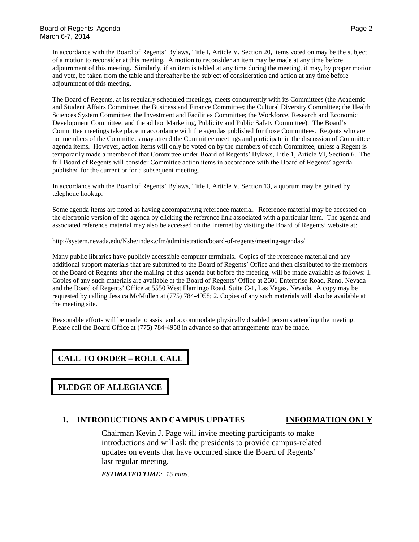In accordance with the Board of Regents' Bylaws, Title I, Article V, Section 20, items voted on may be the subject of a motion to reconsider at this meeting. A motion to reconsider an item may be made at any time before adjournment of this meeting. Similarly, if an item is tabled at any time during the meeting, it may, by proper motion and vote, be taken from the table and thereafter be the subject of consideration and action at any time before adjournment of this meeting.

The Board of Regents, at its regularly scheduled meetings, meets concurrently with its Committees (the Academic and Student Affairs Committee; the Business and Finance Committee; the Cultural Diversity Committee; the Health Sciences System Committee; the Investment and Facilities Committee; the Workforce, Research and Economic Development Committee; and the ad hoc Marketing, Publicity and Public Safety Committee). The Board's Committee meetings take place in accordance with the agendas published for those Committees. Regents who are not members of the Committees may attend the Committee meetings and participate in the discussion of Committee agenda items. However, action items will only be voted on by the members of each Committee, unless a Regent is temporarily made a member of that Committee under Board of Regents' Bylaws, Title 1, Article VI, Section 6. The full Board of Regents will consider Committee action items in accordance with the Board of Regents' agenda published for the current or for a subsequent meeting.

In accordance with the Board of Regents' Bylaws, Title I, Article V, Section 13, a quorum may be gained by telephone hookup.

Some agenda items are noted as having accompanying reference material. Reference material may be accessed on the electronic version of the agenda by clicking the reference link associated with a particular item. The agenda and associated reference material may also be accessed on the Internet by visiting the Board of Regents' website at:

### <http://system.nevada.edu/Nshe/index.cfm/administration/board-of-regents/meeting-agendas/>

Many public libraries have publicly accessible computer terminals. Copies of the reference material and any additional support materials that are submitted to the Board of Regents' Office and then distributed to the members of the Board of Regents after the mailing of this agenda but before the meeting, will be made available as follows: 1. Copies of any such materials are available at the Board of Regents' Office at 2601 Enterprise Road, Reno, Nevada and the Board of Regents' Office at 5550 West Flamingo Road, Suite C-1, Las Vegas, Nevada. A copy may be requested by calling Jessica McMullen at (775) 784-4958; 2. Copies of any such materials will also be available at the meeting site.

Reasonable efforts will be made to assist and accommodate physically disabled persons attending the meeting. Please call the Board Office at (775) 784-4958 in advance so that arrangements may be made.

# **CALL TO ORDER – ROLL CALL**

**PLEDGE OF ALLEGIANCE**

### **1. INTRODUCTIONS AND CAMPUS UPDATES INFORMATION ONLY**

Chairman Kevin J. Page will invite meeting participants to make introductions and will ask the presidents to provide campus-related updates on events that have occurred since the Board of Regents' last regular meeting.

*ESTIMATED TIME: 15 mins.*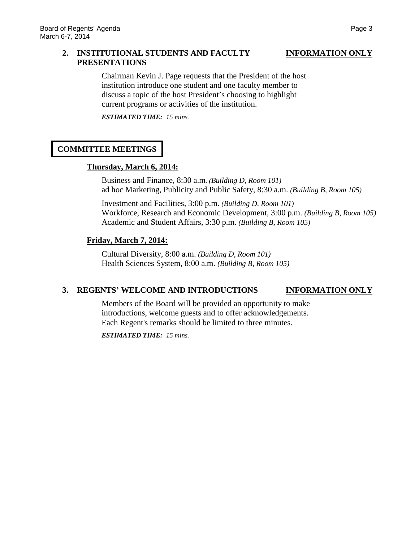### **2. INSTITUTIONAL STUDENTS AND FACULTY INFORMATION ONLY PRESENTATIONS**

Chairman Kevin J. Page requests that the President of the host institution introduce one student and one faculty member to discuss a topic of the host President's choosing to highlight current programs or activities of the institution.

*ESTIMATED TIME: 15 mins.*

# **COMMITTEE MEETINGS**

# **Thursday, March 6, 2014:**

Business and Finance, 8:30 a.m*. (Building D, Room 101)* ad hoc Marketing, Publicity and Public Safety, 8:30 a.m. *(Building B, Room 105)*

Investment and Facilities, 3:00 p.m. *(Building D, Room 101)* Workforce, Research and Economic Development, 3:00 p.m. *(Building B, Room 105)* Academic and Student Affairs, 3:30 p.m. *(Building B, Room 105)*

# **Friday, March 7, 2014:**

Cultural Diversity, 8:00 a.m. *(Building D, Room 101)* Health Sciences System, 8:00 a.m. *(Building B, Room 105)*

# **3. REGENTS' WELCOME AND INTRODUCTIONS INFORMATION ONLY**

Members of the Board will be provided an opportunity to make introductions, welcome guests and to offer acknowledgements. Each Regent's remarks should be limited to three minutes.

*ESTIMATED TIME: 15 mins.*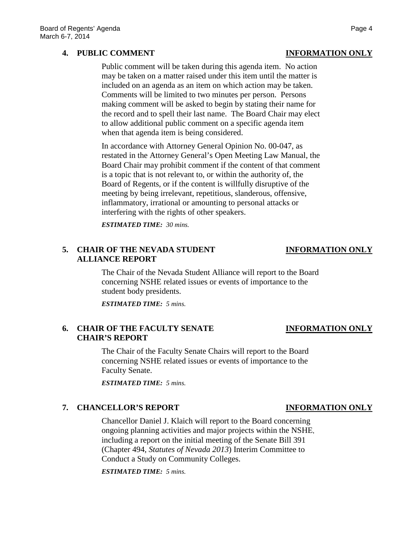### **4. PUBLIC COMMENT INFORMATION ONLY**

Public comment will be taken during this agenda item. No action may be taken on a matter raised under this item until the matter is included on an agenda as an item on which action may be taken. Comments will be limited to two minutes per person. Persons making comment will be asked to begin by stating their name for the record and to spell their last name. The Board Chair may elect to allow additional public comment on a specific agenda item when that agenda item is being considered.

In accordance with Attorney General Opinion No. 00-047, as restated in the Attorney General's Open Meeting Law Manual, the Board Chair may prohibit comment if the content of that comment is a topic that is not relevant to, or within the authority of, the Board of Regents, or if the content is willfully disruptive of the meeting by being irrelevant, repetitious, slanderous, offensive, inflammatory, irrational or amounting to personal attacks or interfering with the rights of other speakers.

*ESTIMATED TIME: 30 mins.*

# **5. CHAIR OF THE NEVADA STUDENT INFORMATION ONLY ALLIANCE REPORT**

The Chair of the Nevada Student Alliance will report to the Board concerning NSHE related issues or events of importance to the student body presidents.

*ESTIMATED TIME: 5 mins.*

### **6. CHAIR OF THE FACULTY SENATE INFORMATION ONLY CHAIR'S REPORT**

The Chair of the Faculty Senate Chairs will report to the Board concerning NSHE related issues or events of importance to the Faculty Senate.

*ESTIMATED TIME: 5 mins.*

# **7. CHANCELLOR'S REPORT INFORMATION ONLY**

Chancellor Daniel J. Klaich will report to the Board concerning ongoing planning activities and major projects within the NSHE, including a report on the initial meeting of the Senate Bill 391 (Chapter 494, *Statutes of Nevada 2013*) Interim Committee to Conduct a Study on Community Colleges.

*ESTIMATED TIME: 5 mins.*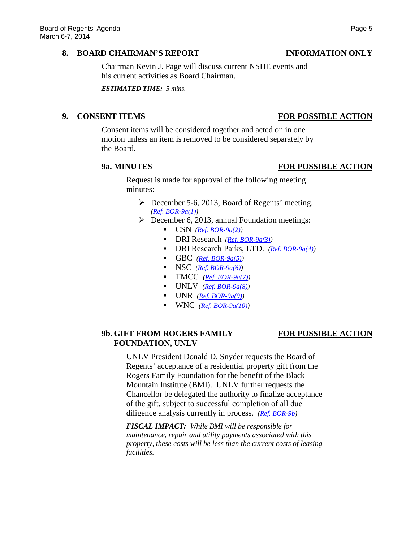### **8. BOARD CHAIRMAN'S REPORT INFORMATION ONLY**

Chairman Kevin J. Page will discuss current NSHE events and his current activities as Board Chairman.

*ESTIMATED TIME: 5 mins.*

### **9. CONSENT ITEMS FOR POSSIBLE ACTION**

### Consent items will be considered together and acted on in one motion unless an item is removed to be considered separately by the Board.

### **9a. MINUTES FOR POSSIBLE ACTION**

Request is made for approval of the following meeting minutes:

- December 5-6, 2013, Board of Regents' meeting. *[\(Ref. BOR-9a\(1\)\)](http://system.nevada.edu/tasks/sites/Nshe/assets/File/BoardOfRegents/Agendas/2014/mar-mtgs/bor-refs/BOR-9a1.pdf)*
- $\triangleright$  December 6, 2013, annual Foundation meetings:
	- $\blacksquare$  CSN *[\(Ref. BOR-9a\(2\)\)](http://system.nevada.edu/tasks/sites/Nshe/assets/File/BoardOfRegents/Agendas/2014/mar-mtgs/bor-refs/BOR-9a2.pdf)*
	- DRI Research *[\(Ref. BOR-9a\(3\)\)](http://system.nevada.edu/tasks/sites/Nshe/assets/File/BoardOfRegents/Agendas/2014/mar-mtgs/bor-refs/BOR-9a3.pdf)*
	- DRI Research Parks, LTD. *[\(Ref. BOR-9a\(4\)\)](http://system.nevada.edu/tasks/sites/Nshe/assets/File/BoardOfRegents/Agendas/2014/mar-mtgs/bor-refs/BOR-9a4.pdf)*
	- GBC  $(Ref. BOR-9a(5))$
	- $\blacksquare$  NSC  $(\text{Ref. BOR-9a(6)})$
	- $\blacksquare$  TMCC *[\(Ref. BOR-9a\(7\)\)](http://system.nevada.edu/tasks/sites/Nshe/assets/File/BoardOfRegents/Agendas/2014/mar-mtgs/bor-refs/BOR-9a7.pdf)*
	- UNLV *[\(Ref. BOR-9a\(8\)\)](http://system.nevada.edu/tasks/sites/Nshe/assets/File/BoardOfRegents/Agendas/2014/mar-mtgs/bor-refs/BOR-9a8.pdf)*
	- UNR *[\(Ref. BOR-9a\(9\)\)](http://system.nevada.edu/tasks/sites/Nshe/assets/File/BoardOfRegents/Agendas/2014/mar-mtgs/bor-refs/BOR-9a9.pdf)*
	- WNC *[\(Ref. BOR-9a\(10\)\)](http://system.nevada.edu/tasks/sites/Nshe/assets/File/BoardOfRegents/Agendas/2014/mar-mtgs/bor-refs/BOR-9a10.pdf)*

# **9b. GIFT FROM ROGERS FAMILY FOR POSSIBLE ACTION FOUNDATION, UNLV**

UNLV President Donald D. Snyder requests the Board of Regents' acceptance of a residential property gift from the Rogers Family Foundation for the benefit of the Black Mountain Institute (BMI). UNLV further requests the Chancellor be delegated the authority to finalize acceptance of the gift, subject to successful completion of all due diligence analysis currently in process. *[\(Ref. BOR-9b\)](http://system.nevada.edu/tasks/sites/Nshe/assets/File/BoardOfRegents/Agendas/2014/mar-mtgs/bor-refs/BOR-9b.pdf)*

*FISCAL IMPACT: While BMI will be responsible for maintenance, repair and utility payments associated with this property, these costs will be less than the current costs of leasing facilities.*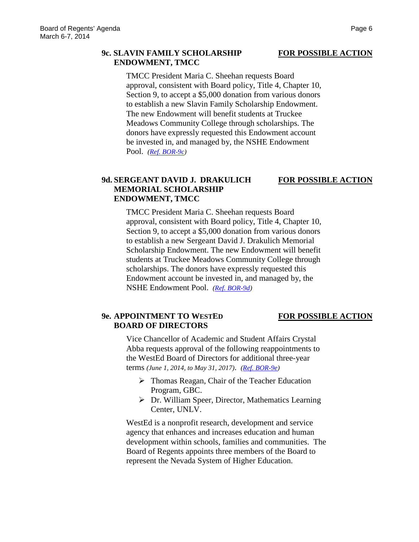### **9c. SLAVIN FAMILY SCHOLARSHIP FOR POSSIBLE ACTION ENDOWMENT, TMCC**

TMCC President Maria C. Sheehan requests Board approval, consistent with Board policy, Title 4, Chapter 10, Section 9, to accept a \$5,000 donation from various donors to establish a new Slavin Family Scholarship Endowment. The new Endowment will benefit students at Truckee Meadows Community College through scholarships. The donors have expressly requested this Endowment account be invested in, and managed by, the NSHE Endowment Pool. *[\(Ref. BOR-9c\)](http://system.nevada.edu/tasks/sites/Nshe/assets/File/BoardOfRegents/Agendas/2014/mar-mtgs/bor-refs/BOR-9c.pdf)*

### **9d. SERGEANT DAVID J. DRAKULICH FOR POSSIBLE ACTION MEMORIAL SCHOLARSHIP ENDOWMENT, TMCC**

TMCC President Maria C. Sheehan requests Board approval, consistent with Board policy, Title 4, Chapter 10, Section 9, to accept a \$5,000 donation from various donors to establish a new Sergeant David J. Drakulich Memorial Scholarship Endowment. The new Endowment will benefit students at Truckee Meadows Community College through scholarships. The donors have expressly requested this Endowment account be invested in, and managed by, the NSHE Endowment Pool. *[\(Ref. BOR-9d\)](http://system.nevada.edu/tasks/sites/Nshe/assets/File/BoardOfRegents/Agendas/2014/mar-mtgs/bor-refs/BOR-9d.pdf)*

# **9e. APPOINTMENT TO WESTED FOR POSSIBLE ACTION BOARD OF DIRECTORS**

Vice Chancellor of Academic and Student Affairs Crystal Abba requests approval of the following reappointments to the WestEd Board of Directors for additional three-year terms *(June 1, 2014, to May 31, 2017)*. *[\(Ref. BOR-9e\)](http://system.nevada.edu/tasks/sites/Nshe/assets/File/BoardOfRegents/Agendas/2014/mar-mtgs/bor-refs/BOR-9e.pdf)*

- $\triangleright$  Thomas Reagan, Chair of the Teacher Education Program, GBC.
- Dr. William Speer, Director, Mathematics Learning Center, UNLV.

WestEd is a nonprofit research, development and service agency that enhances and increases education and human development within schools, families and communities. The Board of Regents appoints three members of the Board to represent the Nevada System of Higher Education.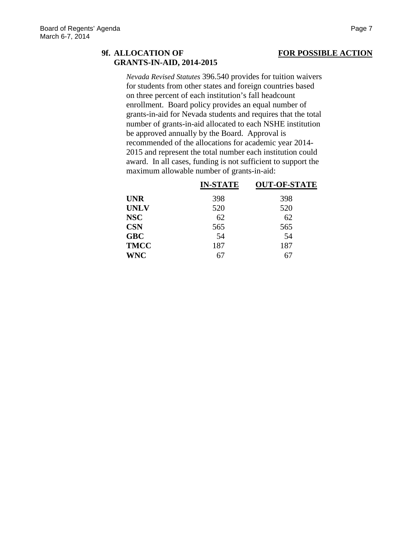# **9f. ALLOCATION OF FOR POSSIBLE ACTION GRANTS-IN-AID, 2014-2015**

*Nevada Revised Statutes* 396.540 provides for tuition waivers for students from other states and foreign countries based on three percent of each institution's fall headcount enrollment. Board policy provides an equal number of grants-in-aid for Nevada students and requires that the total number of grants-in-aid allocated to each NSHE institution be approved annually by the Board. Approval is recommended of the allocations for academic year 2014- 2015 and represent the total number each institution could award. In all cases, funding is not sufficient to support the maximum allowable number of grants-in-aid:

|             | <b>IN-STATE</b> | <b>OUT-OF-STATE</b> |
|-------------|-----------------|---------------------|
| <b>UNR</b>  | 398             | 398                 |
| <b>UNLV</b> | 520             | 520                 |
| <b>NSC</b>  | 62              | 62                  |
| <b>CSN</b>  | 565             | 565                 |
| <b>GBC</b>  | 54              | 54                  |
| <b>TMCC</b> | 187             | 187                 |
| <b>WNC</b>  | 67              | 67                  |
|             |                 |                     |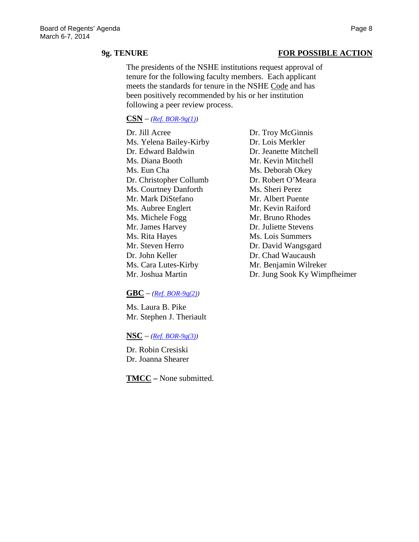### **9g. TENURE FOR POSSIBLE ACTION**

The presidents of the NSHE institutions request approval of tenure for the following faculty members. Each applicant meets the standards for tenure in the NSHE Code and has been positively recommended by his or her institution following a peer review process.

### **CSN** – *[\(Ref. BOR-9g\(1\)\)](http://system.nevada.edu/tasks/sites/Nshe/assets/File/BoardOfRegents/Agendas/2014/mar-mtgs/bor-refs/BOR-9g1.pdf)*

Dr. Jill Acree Dr. Troy McGinnis Ms. Yelena Bailey-Kirby Dr. Lois Merkler Dr. Edward Baldwin Dr. Jeanette Mitchell Ms. Diana Booth Mr. Kevin Mitchell Ms. Eun Cha Ms. Deborah Okey Dr. Christopher Collumb Dr. Robert O'Meara Ms. Courtney Danforth Ms. Sheri Perez Mr. Mark DiStefano Mr. Albert Puente Ms. Aubree Englert Mr. Kevin Raiford Ms. Michele Fogg Mr. Bruno Rhodes Mr. James Harvey Dr. Juliette Stevens Ms. Rita Hayes Ms. Lois Summers Mr. Steven Herro Dr. David Wangsgard Dr. John Keller Dr. Chad Waucaush Ms. Cara Lutes-Kirby Mr. Benjamin Wilreker

### **GBC** – *[\(Ref. BOR-9g\(2\)\)](http://system.nevada.edu/tasks/sites/Nshe/assets/File/BoardOfRegents/Agendas/2014/mar-mtgs/bor-refs/BOR-9g2.pdf)*

Ms. Laura B. Pike Mr. Stephen J. Theriault

 $NSC - (Ref. BOR-9g(3))$  $NSC - (Ref. BOR-9g(3))$ 

Dr. Robin Cresiski Dr. Joanna Shearer

**TMCC –** None submitted.

Mr. Joshua Martin Dr. Jung Sook Ky Wimpfheimer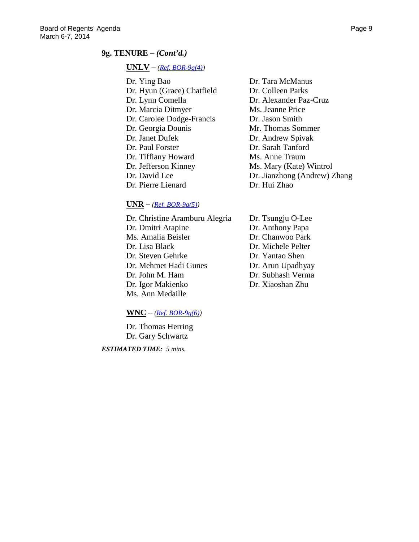### **9g. TENURE –** *(Cont'd.)*

### **UNLV** – *[\(Ref. BOR-9g\(4\)\)](http://system.nevada.edu/tasks/sites/Nshe/assets/File/BoardOfRegents/Agendas/2014/mar-mtgs/bor-refs/BOR-9g4.pdf)*

- Dr. Ying Bao Dr. Tara McManus Dr. Hyun (Grace) Chatfield Dr. Colleen Parks Dr. Lynn Comella Dr. Alexander Paz-Cruz Dr. Marcia Ditmyer Ms. Jeanne Price Dr. Carolee Dodge-Francis Dr. Jason Smith Dr. Georgia Dounis Mr. Thomas Sommer Dr. Janet Dufek Dr. Andrew Spivak Dr. Paul Forster Dr. Sarah Tanford Dr. Tiffiany Howard Ms. Anne Traum Dr. Jefferson Kinney Ms. Mary (Kate) Wintrol Dr. Pierre Lienard Dr. Hui Zhao
- Dr. David Lee Dr. Jianzhong (Andrew) Zhang

### $\mathbf{UNR}$  –  $(Ref. BOR-9g(5))$

Dr. Christine Aramburu Alegria Dr. Tsungju O-Lee Dr. Dmitri Atapine Dr. Anthony Papa Ms. Amalia Beisler Dr. Chanwoo Park Dr. Lisa Black Dr. Michele Pelter Dr. Steven Gehrke Dr. Yantao Shen Dr. Mehmet Hadi Gunes Dr. Arun Upadhyay Dr. John M. Ham Dr. Subhash Verma Dr. Igor Makienko Dr. Xiaoshan Zhu Ms. Ann Medaille

### $\textbf{WNC}$  – (*Ref. BOR-9g(6)*)

Dr. Thomas Herring Dr. Gary Schwartz

*ESTIMATED TIME: 5 mins.*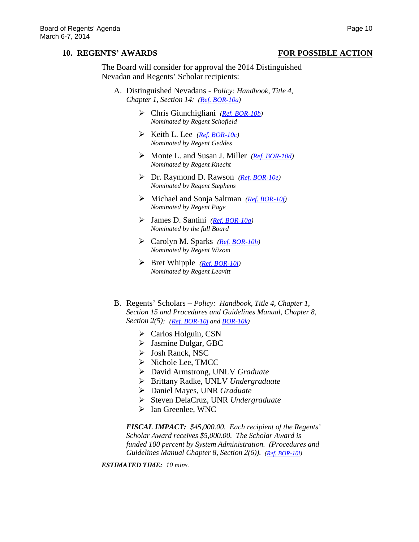### **10. REGENTS' AWARDS FOR POSSIBLE ACTION**

The Board will consider for approval the 2014 Distinguished Nevadan and Regents' Scholar recipients:

- A. Distinguished Nevadans *Policy: Handbook, Title 4, Chapter 1, Section 14: [\(Ref. BOR-10a\)](http://system.nevada.edu/tasks/sites/Nshe/assets/File/BoardOfRegents/Agendas/2014/mar-mtgs/bor-refs/BOR-10a.pdf)*
	- Chris Giunchigliani *[\(Ref. BOR-10b\)](http://system.nevada.edu/tasks/sites/Nshe/assets/File/BoardOfRegents/Agendas/2014/mar-mtgs/bor-refs/BOR-10b.pdf) Nominated by Regent Schofield*
	- $\triangleright$  Keith L. Lee *[\(Ref. BOR-10c\)](http://system.nevada.edu/tasks/sites/Nshe/assets/File/BoardOfRegents/Agendas/2014/mar-mtgs/bor-refs/BOR-10c.pdf) Nominated by Regent Geddes*
	- Monte L. and Susan J. Miller *[\(Ref. BOR-10d\)](http://system.nevada.edu/tasks/sites/Nshe/assets/File/BoardOfRegents/Agendas/2014/mar-mtgs/bor-refs/BOR-10d.pdf) Nominated by Regent Knecht*
	- Dr. Raymond D. Rawson *[\(Ref. BOR-10e\)](http://system.nevada.edu/tasks/sites/Nshe/assets/File/BoardOfRegents/Agendas/2014/mar-mtgs/bor-refs/BOR-10e.pdf) Nominated by Regent Stephens*
	- Michael and Sonja Saltman *[\(Ref. BOR-10f\)](http://system.nevada.edu/tasks/sites/Nshe/assets/File/BoardOfRegents/Agendas/2014/mar-mtgs/bor-refs/BOR-10f.pdf) Nominated by Regent Page*
	- James D. Santini *[\(Ref. BOR-10g\)](http://system.nevada.edu/tasks/sites/Nshe/assets/File/BoardOfRegents/Agendas/2014/mar-mtgs/bor-refs/BOR-10g.pdf) Nominated by the full Board*
	- Carolyn M. Sparks *[\(Ref. BOR-10h\)](http://system.nevada.edu/tasks/sites/Nshe/assets/File/BoardOfRegents/Agendas/2014/mar-mtgs/bor-refs/BOR-10h.pdf) Nominated by Regent Wixom*
	- Bret Whipple *[\(Ref. BOR-10i\)](http://system.nevada.edu/tasks/sites/Nshe/assets/File/BoardOfRegents/Agendas/2014/mar-mtgs/bor-refs/BOR-10i.pdf) Nominated by Regent Leavitt*
- B. Regents' Scholars *Policy: Handbook, Title 4, Chapter 1, Section 15 and Procedures and Guidelines Manual, Chapter 8, Section 2(5): [\(Ref. BOR-10j](http://system.nevada.edu/tasks/sites/Nshe/assets/File/BoardOfRegents/Agendas/2014/mar-mtgs/bor-refs/BOR-10j.pdf) an[d BOR-10k\)](http://system.nevada.edu/tasks/sites/Nshe/assets/File/BoardOfRegents/Agendas/2014/mar-mtgs/bor-refs/BOR-10k.pdf)*
	- $\triangleright$  Carlos Holguin, CSN
	- Jasmine Dulgar, GBC
	- Josh Ranck, NSC
	- $\triangleright$  Nichole Lee, TMCC
	- David Armstrong, UNLV *Graduate*
	- Brittany Radke, UNLV *Undergraduate*
	- Daniel Mayes, UNR *Graduate*
	- Steven DelaCruz*,* UNR *Undergraduate*
	- > Ian Greenlee, WNC

*FISCAL IMPACT: \$45,000.00. Each recipient of the Regents' Scholar Award receives \$5,000.00. The Scholar Award is funded 100 percent by System Administration. (Procedures and Guidelines Manual Chapter 8, Section 2(6)). [\(Ref. BOR-10l\)](http://system.nevada.edu/tasks/sites/Nshe/assets/File/BoardOfRegents/Agendas/2014/mar-mtgs/bor-refs/BOR-10l.pdf)*

*ESTIMATED TIME: 10 mins.*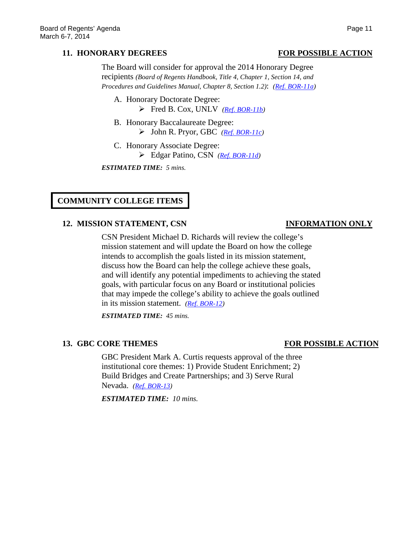### **11. HONORARY DEGREES FOR POSSIBLE ACTION**

### The Board will consider for approval the 2014 Honorary Degree recipients *(Board of Regents Handbook, Title 4, Chapter 1, Section 14, and Procedures and Guidelines Manual, Chapter 8, Section 1.2)*: *[\(Ref. BOR-11a\)](http://system.nevada.edu/tasks/sites/Nshe/assets/File/BoardOfRegents/Agendas/2014/mar-mtgs/bor-refs/BOR-11a.pdf)*

- A. Honorary Doctorate Degree: Fred B. Cox, UNLV *[\(Ref. BOR-11b\)](http://system.nevada.edu/tasks/sites/Nshe/assets/File/BoardOfRegents/Agendas/2014/mar-mtgs/bor-refs/BOR-11b.pdf)*
- B. Honorary Baccalaureate Degree: John R. Pryor, GBC *[\(Ref. BOR-11c\)](http://system.nevada.edu/tasks/sites/Nshe/assets/File/BoardOfRegents/Agendas/2014/mar-mtgs/bor-refs/BOR-11c.pdf)*
- C. Honorary Associate Degree: Edgar Patino, CSN *[\(Ref. BOR-11d\)](http://system.nevada.edu/tasks/sites/Nshe/assets/File/BoardOfRegents/Agendas/2014/mar-mtgs/bor-refs/BOR-11d.pdf)*

*ESTIMATED TIME: 5 mins.*

# **COMMUNITY COLLEGE ITEMS**

### **12. MISSION STATEMENT, CSN INFORMATION ONLY**

CSN President Michael D. Richards will review the college's mission statement and will update the Board on how the college intends to accomplish the goals listed in its mission statement, discuss how the Board can help the college achieve these goals, and will identify any potential impediments to achieving the stated goals, with particular focus on any Board or institutional policies that may impede the college's ability to achieve the goals outlined in its mission statement. *[\(Ref. BOR-12\)](http://system.nevada.edu/tasks/sites/Nshe/assets/File/BoardOfRegents/Agendas/2014/mar-mtgs/bor-refs/BOR-12.pdf)*

*ESTIMATED TIME: 45 mins.*

### **13. GBC CORE THEMES FOR POSSIBLE ACTION**

GBC President Mark A. Curtis requests approval of the three institutional core themes: 1) Provide Student Enrichment; 2) Build Bridges and Create Partnerships; and 3) Serve Rural Nevada. *[\(Ref. BOR-13\)](http://system.nevada.edu/tasks/sites/Nshe/assets/File/BoardOfRegents/Agendas/2014/mar-mtgs/bor-refs/BOR-13.pdf)*

*ESTIMATED TIME: 10 mins.*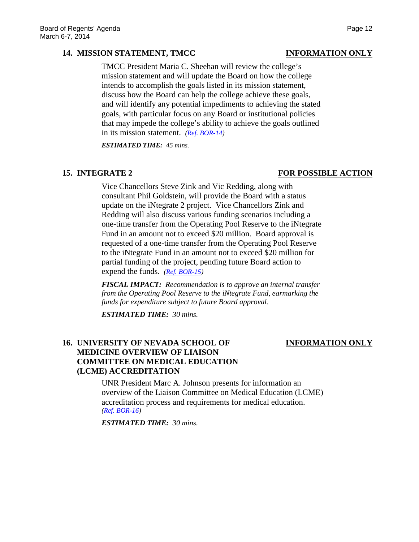### **14. MISSION STATEMENT, TMCC INFORMATION ONLY**

TMCC President Maria C. Sheehan will review the college's mission statement and will update the Board on how the college intends to accomplish the goals listed in its mission statement, discuss how the Board can help the college achieve these goals, and will identify any potential impediments to achieving the stated goals, with particular focus on any Board or institutional policies that may impede the college's ability to achieve the goals outlined in its mission statement. *[\(Ref. BOR-14\)](http://system.nevada.edu/tasks/sites/Nshe/assets/File/BoardOfRegents/Agendas/2014/mar-mtgs/bor-refs/BOR-14.pdf)*

*ESTIMATED TIME: 45 mins.*

### **15. INTEGRATE 2 FOR POSSIBLE ACTION**

Vice Chancellors Steve Zink and Vic Redding, along with consultant Phil Goldstein, will provide the Board with a status update on the iNtegrate 2 project. Vice Chancellors Zink and Redding will also discuss various funding scenarios including a one-time transfer from the Operating Pool Reserve to the iNtegrate Fund in an amount not to exceed \$20 million. Board approval is requested of a one-time transfer from the Operating Pool Reserve to the iNtegrate Fund in an amount not to exceed \$20 million for partial funding of the project, pending future Board action to expend the funds. *[\(Ref. BOR-15\)](http://system.nevada.edu/tasks/sites/Nshe/assets/File/BoardOfRegents/Agendas/2014/mar-mtgs/bor-refs/BOR-15.pdf)*

*FISCAL IMPACT: Recommendation is to approve an internal transfer from the Operating Pool Reserve to the iNtegrate Fund, earmarking the funds for expenditure subject to future Board approval.*

*ESTIMATED TIME: 30 mins.*

# **16. UNIVERSITY OF NEVADA SCHOOL OF INFORMATION ONLY MEDICINE OVERVIEW OF LIAISON COMMITTEE ON MEDICAL EDUCATION**

UNR President Marc A. Johnson presents for information an overview of the Liaison Committee on Medical Education (LCME) accreditation process and requirements for medical education. *[\(Ref. BOR-16\)](http://system.nevada.edu/tasks/sites/Nshe/assets/File/BoardOfRegents/Agendas/2014/mar-mtgs/bor-refs/BOR-16.pdf)*

*ESTIMATED TIME: 30 mins.*

**(LCME) ACCREDITATION**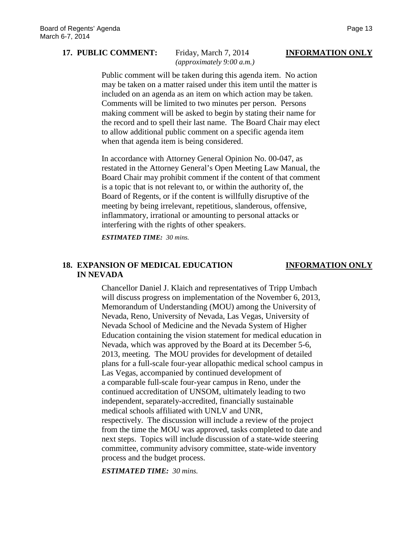### **17. PUBLIC COMMENT:** Friday, March 7, 2014 **INFORMATION ONLY**

# *(approximately 9:00 a.m.)*

Public comment will be taken during this agenda item. No action may be taken on a matter raised under this item until the matter is included on an agenda as an item on which action may be taken. Comments will be limited to two minutes per person. Persons making comment will be asked to begin by stating their name for the record and to spell their last name. The Board Chair may elect to allow additional public comment on a specific agenda item when that agenda item is being considered.

In accordance with Attorney General Opinion No. 00-047, as restated in the Attorney General's Open Meeting Law Manual, the Board Chair may prohibit comment if the content of that comment is a topic that is not relevant to, or within the authority of, the Board of Regents, or if the content is willfully disruptive of the meeting by being irrelevant, repetitious, slanderous, offensive, inflammatory, irrational or amounting to personal attacks or interfering with the rights of other speakers.

*ESTIMATED TIME: 30 mins.*

### **18. EXPANSION OF MEDICAL EDUCATION INFORMATION ONLY IN NEVADA**

Chancellor Daniel J. Klaich and representatives of Tripp Umbach will discuss progress on implementation of the November 6, 2013, Memorandum of Understanding (MOU) among the University of Nevada, Reno, University of Nevada, Las Vegas, University of Nevada School of Medicine and the Nevada System of Higher Education containing the vision statement for medical education in Nevada, which was approved by the Board at its December 5-6, 2013, meeting. The MOU provides for development of detailed plans for a full-scale four-year allopathic medical school campus in Las Vegas, accompanied by continued development of a comparable full-scale four-year campus in Reno, under the continued accreditation of UNSOM, ultimately leading to two independent, separately-accredited, financially sustainable medical schools affiliated with UNLV and UNR, respectively. The discussion will include a review of the project from the time the MOU was approved, tasks completed to date and next steps. Topics will include discussion of a state-wide steering committee, community advisory committee, state-wide inventory process and the budget process.

*ESTIMATED TIME: 30 mins.*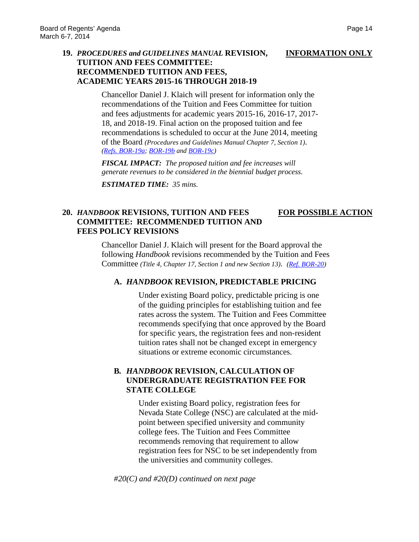### **19.** *PROCEDURES and GUIDELINES MANUAL* **REVISION, INFORMATION ONLY TUITION AND FEES COMMITTEE: RECOMMENDED TUITION AND FEES, ACADEMIC YEARS 2015-16 THROUGH 2018-19**

Chancellor Daniel J. Klaich will present for information only the recommendations of the Tuition and Fees Committee for tuition and fees adjustments for academic years 2015-16, 2016-17, 2017- 18, and 2018-19. Final action on the proposed tuition and fee recommendations is scheduled to occur at the June 2014, meeting of the Board *(Procedures and Guidelines Manual Chapter 7, Section 1)*. *[\(Refs. BOR-19a;](http://system.nevada.edu/tasks/sites/Nshe/assets/File/BoardOfRegents/Agendas/2014/mar-mtgs/bor-refs/BOR-19a.pdf) [BOR-19b](http://system.nevada.edu/tasks/sites/Nshe/assets/File/BoardOfRegents/Agendas/2014/mar-mtgs/bor-refs/BOR-19b.pdf) and [BOR-19c\)](http://system.nevada.edu/tasks/sites/Nshe/assets/File/BoardOfRegents/Agendas/2014/mar-mtgs/bor-refs/BOR-19c.pdf)*

*FISCAL IMPACT: The proposed tuition and fee increases will generate revenues to be considered in the biennial budget process.*

*ESTIMATED TIME: 35 mins.*

### **20.** *HANDBOOK* **REVISIONS, TUITION AND FEES FOR POSSIBLE ACTION COMMITTEE: RECOMMENDED TUITION AND FEES POLICY REVISIONS**

Chancellor Daniel J. Klaich will present for the Board approval the following *Handbook* revisions recommended by the Tuition and Fees Committee *(Title 4, Chapter 17, Section 1 and new Section 13)*. *[\(Ref. BOR-20\)](http://system.nevada.edu/tasks/sites/Nshe/assets/File/BoardOfRegents/Agendas/2014/mar-mtgs/bor-refs/BOR-20.pdf)*

### **A.** *HANDBOOK* **REVISION, PREDICTABLE PRICING**

Under existing Board policy, predictable pricing is one of the guiding principles for establishing tuition and fee rates across the system. The Tuition and Fees Committee recommends specifying that once approved by the Board for specific years, the registration fees and non-resident tuition rates shall not be changed except in emergency situations or extreme economic circumstances.

# **B***. HANDBOOK* **REVISION, CALCULATION OF UNDERGRADUATE REGISTRATION FEE FOR STATE COLLEGE**

Under existing Board policy, registration fees for Nevada State College (NSC) are calculated at the midpoint between specified university and community college fees. The Tuition and Fees Committee recommends removing that requirement to allow registration fees for NSC to be set independently from the universities and community colleges.

*#20(C) and #20(D) continued on next page*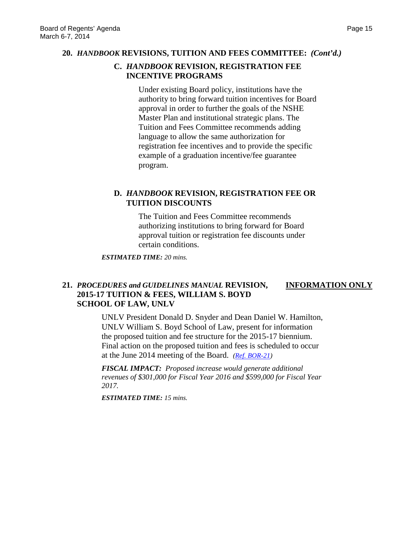### **20.** *HANDBOOK* **REVISIONS, TUITION AND FEES COMMITTEE:** *(Cont'd.)*

### **C.** *HANDBOOK* **REVISION, REGISTRATION FEE INCENTIVE PROGRAMS**

Under existing Board policy, institutions have the authority to bring forward tuition incentives for Board approval in order to further the goals of the NSHE Master Plan and institutional strategic plans. The Tuition and Fees Committee recommends adding language to allow the same authorization for registration fee incentives and to provide the specific example of a graduation incentive/fee guarantee program.

# **D.** *HANDBOOK* **REVISION, REGISTRATION FEE OR TUITION DISCOUNTS**

The Tuition and Fees Committee recommends authorizing institutions to bring forward for Board approval tuition or registration fee discounts under certain conditions.

*ESTIMATED TIME: 20 mins.*

# **21.** *PROCEDURES and GUIDELINES MANUAL* **REVISION, INFORMATION ONLY 2015-17 TUITION & FEES, WILLIAM S. BOYD SCHOOL OF LAW, UNLV**

UNLV President Donald D. Snyder and Dean Daniel W. Hamilton, UNLV William S. Boyd School of Law, present for information the proposed tuition and fee structure for the 2015-17 biennium. Final action on the proposed tuition and fees is scheduled to occur at the June 2014 meeting of the Board. *[\(Ref. BOR-21\)](http://system.nevada.edu/tasks/sites/Nshe/assets/File/BoardOfRegents/Agendas/2014/mar-mtgs/bor-refs/BOR-21.pdf)*

*FISCAL IMPACT: Proposed increase would generate additional revenues of \$301,000 for Fiscal Year 2016 and \$599,000 for Fiscal Year 2017.*

*ESTIMATED TIME: 15 mins.*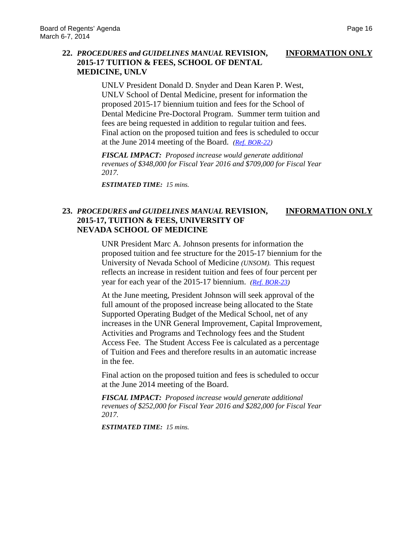# **22.** *PROCEDURES and GUIDELINES MANUAL* **REVISION, INFORMATION ONLY 2015-17 TUITION & FEES, SCHOOL OF DENTAL MEDICINE, UNLV**

UNLV President Donald D. Snyder and Dean Karen P. West, UNLV School of Dental Medicine, present for information the proposed 2015-17 biennium tuition and fees for the School of Dental Medicine Pre-Doctoral Program. Summer term tuition and fees are being requested in addition to regular tuition and fees. Final action on the proposed tuition and fees is scheduled to occur at the June 2014 meeting of the Board. *[\(Ref. BOR-22\)](http://system.nevada.edu/tasks/sites/Nshe/assets/File/BoardOfRegents/Agendas/2014/mar-mtgs/bor-refs/BOR-22.pdf)*

*FISCAL IMPACT: Proposed increase would generate additional revenues of \$348,000 for Fiscal Year 2016 and \$709,000 for Fiscal Year 2017.*

*ESTIMATED TIME: 15 mins.*

# **23.** *PROCEDURES and GUIDELINES MANUAL* **REVISION, INFORMATION ONLY 2015-17, TUITION & FEES, UNIVERSITY OF NEVADA SCHOOL OF MEDICINE**

UNR President Marc A. Johnson presents for information the proposed tuition and fee structure for the 2015-17 biennium for the University of Nevada School of Medicine *(UNSOM)*. This request reflects an increase in resident tuition and fees of four percent per year for each year of the 2015-17 biennium. *[\(Ref. BOR-23\)](http://system.nevada.edu/tasks/sites/Nshe/assets/File/BoardOfRegents/Agendas/2014/mar-mtgs/bor-refs/BOR-23.pdf)*

At the June meeting, President Johnson will seek approval of the full amount of the proposed increase being allocated to the State Supported Operating Budget of the Medical School, net of any increases in the UNR General Improvement, Capital Improvement, Activities and Programs and Technology fees and the Student Access Fee. The Student Access Fee is calculated as a percentage of Tuition and Fees and therefore results in an automatic increase in the fee.

Final action on the proposed tuition and fees is scheduled to occur at the June 2014 meeting of the Board.

*FISCAL IMPACT: Proposed increase would generate additional revenues of \$252,000 for Fiscal Year 2016 and \$282,000 for Fiscal Year 2017.*

*ESTIMATED TIME: 15 mins.*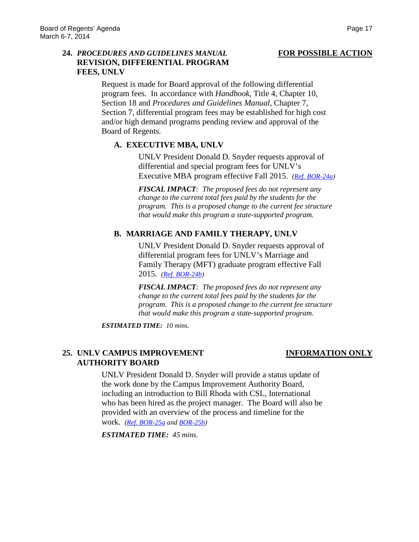### **24.** *PROCEDURES AND GUIDELINES MANUAL* **FOR POSSIBLE ACTION REVISION, DIFFERENTIAL PROGRAM FEES, UNLV**

Request is made for Board approval of the following differential program fees. In accordance with *Handbook*, Title 4, Chapter 10, Section 18 and *Procedures and Guidelines Manual*, Chapter 7, Section 7, differential program fees may be established for high cost and/or high demand programs pending review and approval of the Board of Regents.

# **A. EXECUTIVE MBA, UNLV**

UNLV President Donald D. Snyder requests approval of differential and special program fees for UNLV's Executive MBA program effective Fall 2015. *[\(Ref. BOR-24a\)](http://system.nevada.edu/tasks/sites/Nshe/assets/File/BoardOfRegents/Agendas/2014/mar-mtgs/bor-refs/BOR-24a.pdf)*

*FISCAL IMPACT: The proposed fees do not represent any change to the current total fees paid by the students for the program. This is a proposed change to the current fee structure that would make this program a state-supported program.* 

# **B. MARRIAGE AND FAMILY THERAPY, UNLV**

UNLV President Donald D. Snyder requests approval of differential program fees for UNLV's Marriage and Family Therapy (MFT) graduate program effective Fall 2015. *[\(Ref. BOR-24b\)](http://system.nevada.edu/tasks/sites/Nshe/assets/File/BoardOfRegents/Agendas/2014/mar-mtgs/bor-refs/BOR-24b.pdf)*

*FISCAL IMPACT: The proposed fees do not represent any change to the current total fees paid by the students for the program. This is a proposed change to the current fee structure that would make this program a state-supported program.* 

*ESTIMATED TIME: 10 mins.*

# **25. UNLV CAMPUS IMPROVEMENT INFORMATION ONLY AUTHORITY BOARD**

UNLV President Donald D. Snyder will provide a status update of the work done by the Campus Improvement Authority Board, including an introduction to Bill Rhoda with CSL, International who has been hired as the project manager. The Board will also be provided with an overview of the process and timeline for the work. *[\(Ref. BOR-25a](http://system.nevada.edu/tasks/sites/Nshe/assets/File/BoardOfRegents/Agendas/2014/mar-mtgs/bor-refs/BOR-25a.pdf) an[d BOR-25b\)](http://system.nevada.edu/tasks/sites/Nshe/assets/File/BoardOfRegents/Agendas/2014/mar-mtgs/bor-refs/BOR-25b.pdf)*

*ESTIMATED TIME: 45 mins.*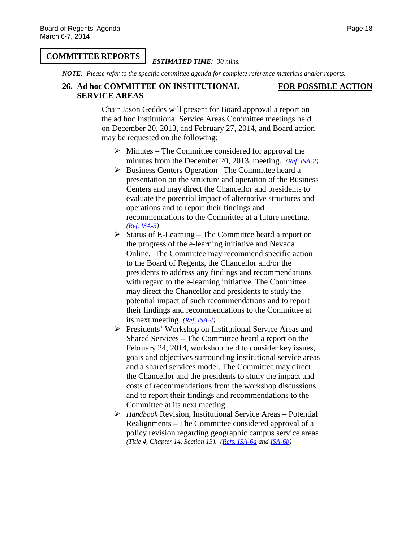### **COMMITTEE REPORTS**

### *ESTIMATED TIME: 30 mins.*

*NOTE: Please refer to the specific committee agenda for complete reference materials and/or reports.*

### **26. Ad hoc COMMITTEE ON INSTITUTIONAL FOR POSSIBLE ACTION SERVICE AREAS**

Chair Jason Geddes will present for Board approval a report on the ad hoc Institutional Service Areas Committee meetings held on December 20, 2013, and February 27, 2014, and Board action may be requested on the following:

- $\triangleright$  Minutes The Committee considered for approval the minutes from the December 20, 2013, meeting. *[\(Ref. ISA-2\)](http://system.nevada.edu/tasks/sites/Nshe/assets/File/BoardOfRegents/Agendas/2014/feb-mtgs/isa-refs/ISA-2.pdf)*
- $\triangleright$  Business Centers Operation –The Committee heard a presentation on the structure and operation of the Business Centers and may direct the Chancellor and presidents to evaluate the potential impact of alternative structures and operations and to report their findings and recommendations to the Committee at a future meeting. *[\(Ref. ISA-3\)](http://system.nevada.edu/tasks/sites/Nshe/assets/File/BoardOfRegents/Agendas/2014/feb-mtgs/isa-refs/ISA-3.pdf)*
- $\triangleright$  Status of E-Learning The Committee heard a report on the progress of the e-learning initiative and Nevada Online. The Committee may recommend specific action to the Board of Regents, the Chancellor and/or the presidents to address any findings and recommendations with regard to the e-learning initiative. The Committee may direct the Chancellor and presidents to study the potential impact of such recommendations and to report their findings and recommendations to the Committee at its next meeting. *[\(Ref. ISA-4\)](http://system.nevada.edu/tasks/sites/Nshe/assets/File/BoardOfRegents/Agendas/2014/feb-mtgs/isa-refs/ISA-4.pdf)*
- **Presidents' Workshop on Institutional Service Areas and** Shared Services – The Committee heard a report on the February 24, 2014, workshop held to consider key issues, goals and objectives surrounding institutional service areas and a shared services model. The Committee may direct the Chancellor and the presidents to study the impact and costs of recommendations from the workshop discussions and to report their findings and recommendations to the Committee at its next meeting.
- *Handbook* Revision, Institutional Service Areas Potential Realignments – The Committee considered approval of a policy revision regarding geographic campus service areas *(Title 4, Chapter 14, Section 13)*. *[\(Refs. ISA-6a](http://system.nevada.edu/tasks/sites/Nshe/assets/File/BoardOfRegents/Agendas/2014/feb-mtgs/isa-refs/ISA-6a.pdf) and [ISA-6b\)](http://system.nevada.edu/tasks/sites/Nshe/assets/File/BoardOfRegents/Agendas/2014/feb-mtgs/isa-refs/ISA-6b.pdf)*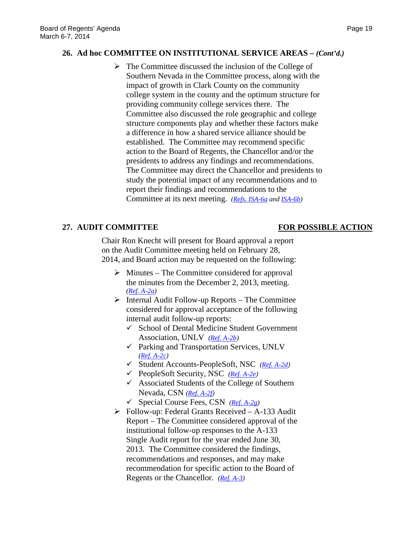### **26. Ad hoc COMMITTEE ON INSTITUTIONAL SERVICE AREAS –** *(Cont'd.)*

 $\triangleright$  The Committee discussed the inclusion of the College of Southern Nevada in the Committee process, along with the impact of growth in Clark County on the community college system in the county and the optimum structure for providing community college services there. The Committee also discussed the role geographic and college structure components play and whether these factors make a difference in how a shared service alliance should be established. The Committee may recommend specific action to the Board of Regents, the Chancellor and/or the presidents to address any findings and recommendations. The Committee may direct the Chancellor and presidents to study the potential impact of any recommendations and to report their findings and recommendations to the Committee at its next meeting. *[\(Refs. ISA-6a](http://system.nevada.edu/tasks/sites/Nshe/assets/File/BoardOfRegents/Agendas/2014/feb-mtgs/isa-refs/ISA-6a.pdf) and [ISA-6b\)](http://system.nevada.edu/tasks/sites/Nshe/assets/File/BoardOfRegents/Agendas/2014/feb-mtgs/isa-refs/ISA-6b.pdf)*

# **27. AUDIT COMMITTEE FOR POSSIBLE ACTION**

Chair Ron Knecht will present for Board approval a report on the Audit Committee meeting held on February 28, 2014, and Board action may be requested on the following:

- $\triangleright$  Minutes The Committee considered for approval the minutes from the December 2, 2013, meeting. *[\(Ref. A-2a\)](http://system.nevada.edu/tasks/sites/Nshe/assets/File/BoardOfRegents/Agendas/2014/feb-mtgs/audit-refs/A-2a.pdf)*
- $\triangleright$  Internal Audit Follow-up Reports The Committee considered for approval acceptance of the following internal audit follow-up reports:
	- $\checkmark$  School of Dental Medicine Student Government Association, UNLV *[\(Ref. A-2b\)](http://system.nevada.edu/tasks/sites/Nshe/assets/File/BoardOfRegents/Agendas/2014/feb-mtgs/audit-refs/A-2b.pdf)*
	- $\checkmark$  Parking and Transportation Services, UNLV *[\(Ref. A-2c\)](http://system.nevada.edu/tasks/sites/Nshe/assets/File/BoardOfRegents/Agendas/2014/feb-mtgs/audit-refs/A-2c.pdf)*
	- Student Accounts-PeopleSoft, NSC *[\(Ref. A-2d\)](http://system.nevada.edu/tasks/sites/Nshe/assets/File/BoardOfRegents/Agendas/2014/feb-mtgs/audit-refs/A-2d.pdf)*
	- PeopleSoft Security, NSC *[\(Ref. A-2e\)](http://system.nevada.edu/tasks/sites/Nshe/assets/File/BoardOfRegents/Agendas/2014/feb-mtgs/audit-refs/A-2e.pdf)*
	- $\checkmark$  Associated Students of the College of Southern Nevada, CSN *[\(Ref. A-2f\)](http://system.nevada.edu/tasks/sites/Nshe/assets/File/BoardOfRegents/Agendas/2014/feb-mtgs/audit-refs/A-2f.pdf)*
	- Special Course Fees, CSN *[\(Ref. A-2g\)](http://system.nevada.edu/tasks/sites/Nshe/assets/File/BoardOfRegents/Agendas/2014/feb-mtgs/audit-refs/A-2g.pdf)*
- $\triangleright$  Follow-up: Federal Grants Received A-133 Audit Report – The Committee considered approval of the institutional follow-up responses to the A-133 Single Audit report for the year ended June 30, 2013. The Committee considered the findings, recommendations and responses, and may make recommendation for specific action to the Board of Regents or the Chancellor. *[\(Ref. A-3\)](http://system.nevada.edu/tasks/sites/Nshe/assets/File/BoardOfRegents/Agendas/2014/feb-mtgs/audit-refs/A-3.pdf)*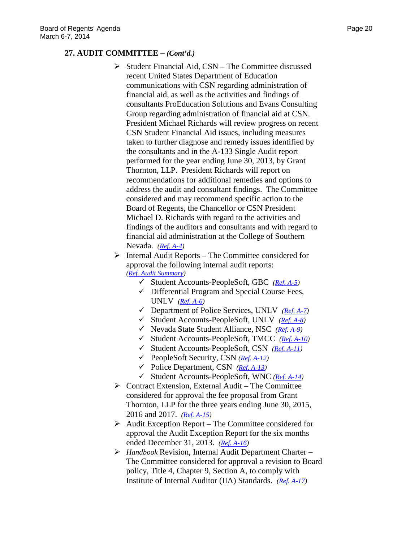### **27. AUDIT COMMITTEE –** *(Cont'd.)*

- $\triangleright$  Student Financial Aid, CSN The Committee discussed recent United States Department of Education communications with CSN regarding administration of financial aid, as well as the activities and findings of consultants ProEducation Solutions and Evans Consulting Group regarding administration of financial aid at CSN. President Michael Richards will review progress on recent CSN Student Financial Aid issues, including measures taken to further diagnose and remedy issues identified by the consultants and in the A-133 Single Audit report performed for the year ending June 30, 2013, by Grant Thornton, LLP. President Richards will report on recommendations for additional remedies and options to address the audit and consultant findings. The Committee considered and may recommend specific action to the Board of Regents, the Chancellor or CSN President Michael D. Richards with regard to the activities and findings of the auditors and consultants and with regard to financial aid administration at the College of Southern Nevada. *[\(Ref. A-4\)](http://system.nevada.edu/tasks/sites/Nshe/assets/File/BoardOfRegents/Agendas/2014/feb-mtgs/audit-refs/A-4.pdf)*
- $\triangleright$  Internal Audit Reports The Committee considered for approval the following internal audit reports: *[\(Ref. Audit Summary\)](http://system.nevada.edu/tasks/sites/Nshe/assets/File/BoardOfRegents/Agendas/2014/feb-mtgs/audit-refs/Audit%20Summary.pdf)*
	- Student Accounts-PeopleSoft, GBC *[\(Ref. A-5\)](http://system.nevada.edu/tasks/sites/Nshe/assets/File/BoardOfRegents/Agendas/2014/feb-mtgs/audit-refs/A-5.pdf)*
	- $\checkmark$  Differential Program and Special Course Fees, UNLV *[\(Ref. A-6\)](http://system.nevada.edu/tasks/sites/Nshe/assets/File/BoardOfRegents/Agendas/2014/feb-mtgs/audit-refs/A-6.pdf)*
	- Department of Police Services, UNLV *[\(Ref. A-7\)](http://system.nevada.edu/tasks/sites/Nshe/assets/File/BoardOfRegents/Agendas/2014/feb-mtgs/audit-refs/A-7.pdf)*
	- Student Accounts-PeopleSoft, UNLV *[\(Ref. A-8\)](http://system.nevada.edu/tasks/sites/Nshe/assets/File/BoardOfRegents/Agendas/2014/feb-mtgs/audit-refs/A-8.pdf)*
	- Nevada State Student Alliance, NSC *[\(Ref. A-9\)](http://system.nevada.edu/tasks/sites/Nshe/assets/File/BoardOfRegents/Agendas/2014/feb-mtgs/audit-refs/A-9.pdf)*
	- Student Accounts-PeopleSoft, TMCC *[\(Ref. A-10\)](http://system.nevada.edu/tasks/sites/Nshe/assets/File/BoardOfRegents/Agendas/2014/feb-mtgs/audit-refs/A-10.pdf)*
	- Student Accounts-PeopleSoft, CSN *[\(Ref. A-11\)](http://system.nevada.edu/tasks/sites/Nshe/assets/File/BoardOfRegents/Agendas/2014/feb-mtgs/audit-refs/A-11.pdf)*
	- PeopleSoft Security, CSN *[\(Ref. A-12\)](http://system.nevada.edu/tasks/sites/Nshe/assets/File/BoardOfRegents/Agendas/2014/feb-mtgs/audit-refs/A-12.pdf)*
	- Police Department, CSN *[\(Ref. A-13\)](http://system.nevada.edu/tasks/sites/Nshe/assets/File/BoardOfRegents/Agendas/2014/feb-mtgs/audit-refs/A-13.pdf)*
	- Student Accounts-PeopleSoft, WNC *[\(Ref. A-14\)](http://system.nevada.edu/tasks/sites/Nshe/assets/File/BoardOfRegents/Agendas/2014/feb-mtgs/audit-refs/A-14.pdf)*
- $\triangleright$  Contract Extension, External Audit The Committee considered for approval the fee proposal from Grant Thornton, LLP for the three years ending June 30, 2015, 2016 and 2017. *[\(Ref. A-15\)](http://system.nevada.edu/tasks/sites/Nshe/assets/File/BoardOfRegents/Agendas/2014/feb-mtgs/audit-refs/A-15.pdf)*
- $\triangleright$  Audit Exception Report The Committee considered for approval the Audit Exception Report for the six months ended December 31, 2013. *[\(Ref. A-16\)](http://system.nevada.edu/tasks/sites/Nshe/assets/File/BoardOfRegents/Agendas/2014/feb-mtgs/audit-refs/A-16.pdf)*
- *Handbook* Revision, Internal Audit Department Charter The Committee considered for approval a revision to Board policy, Title 4, Chapter 9, Section A, to comply with Institute of Internal Auditor (IIA) Standards. *[\(Ref. A-17\)](http://system.nevada.edu/tasks/sites/Nshe/assets/File/BoardOfRegents/Agendas/2014/feb-mtgs/audit-refs/A-17.pdf)*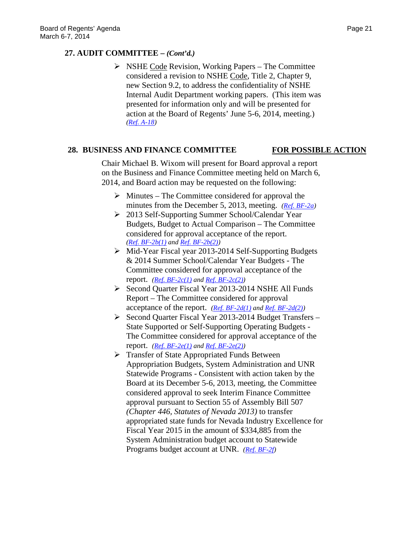# **27. AUDIT COMMITTEE –** *(Cont'd.)*

 $\triangleright$  NSHE Code Revision, Working Papers – The Committee considered a revision to NSHE Code, Title 2, Chapter 9, new Section 9.2, to address the confidentiality of NSHE Internal Audit Department working papers. (This item was presented for information only and will be presented for action at the Board of Regents' June 5-6, 2014, meeting.) *[\(Ref. A-18\)](http://system.nevada.edu/tasks/sites/Nshe/assets/File/BoardOfRegents/Agendas/2014/feb-mtgs/audit-refs/A-18.pdf)*

# **28. BUSINESS AND FINANCE COMMITTEE FOR POSSIBLE ACTION**

Chair Michael B. Wixom will present for Board approval a report on the Business and Finance Committee meeting held on March 6, 2014, and Board action may be requested on the following:

- $\triangleright$  Minutes The Committee considered for approval the minutes from the December 5, 2013, meeting. *[\(Ref. BF-2a\)](http://system.nevada.edu/tasks/sites/Nshe/assets/File/BoardOfRegents/Agendas/2014/mar-mtgs/bf-refs/BF-2a.pdf)*
- 2013 Self-Supporting Summer School/Calendar Year Budgets, Budget to Actual Comparison – The Committee considered for approval acceptance of the report. *[\(Ref. BF-2b\(1\)](http://system.nevada.edu/tasks/sites/Nshe/assets/File/BoardOfRegents/Agendas/2014/mar-mtgs/bf-refs/BF-2b(1).pdf) and [Ref. BF-2b\(2\)\)](http://system.nevada.edu/tasks/sites/Nshe/assets/File/BoardOfRegents/Agendas/2014/mar-mtgs/bf-refs/BF-2b(2).pdf)*
- Mid-Year Fiscal year 2013-2014 Self-Supporting Budgets & 2014 Summer School/Calendar Year Budgets - The Committee considered for approval acceptance of the report. *[\(Ref. BF-2c\(1\)](http://system.nevada.edu/tasks/sites/Nshe/assets/File/BoardOfRegents/Agendas/2014/mar-mtgs/bf-refs/BF-2c(1).pdf) an[d Ref. BF-2c\(2\)\)](http://system.nevada.edu/tasks/sites/Nshe/assets/File/BoardOfRegents/Agendas/2014/mar-mtgs/bf-refs/BF-2c(2).pdf)*
- Second Quarter Fiscal Year 2013-2014 NSHE All Funds Report – The Committee considered for approval acceptance of the report. *[\(Ref. BF-2d\(1\)](http://system.nevada.edu/tasks/sites/Nshe/assets/File/BoardOfRegents/Agendas/2014/mar-mtgs/bf-refs/BF-2d(1).pdf) and [Ref. BF-2d\(2\)\)](http://system.nevada.edu/tasks/sites/Nshe/assets/File/BoardOfRegents/Agendas/2014/mar-mtgs/bf-refs/BF-2d(2).pdf)*
- $\triangleright$  Second Quarter Fiscal Year 2013-2014 Budget Transfers State Supported or Self-Supporting Operating Budgets - The Committee considered for approval acceptance of the report. *[\(Ref. BF-2e\(1\)](http://system.nevada.edu/tasks/sites/Nshe/assets/File/BoardOfRegents/Agendas/2014/mar-mtgs/bf-refs/BF-2e(1).pdf) an[d Ref. BF-2e\(2\)\)](http://system.nevada.edu/tasks/sites/Nshe/assets/File/BoardOfRegents/Agendas/2014/mar-mtgs/bf-refs/BF-2e(2).pdf)*
- **Transfer of State Appropriated Funds Between** Appropriation Budgets, System Administration and UNR Statewide Programs - Consistent with action taken by the Board at its December 5-6, 2013, meeting, the Committee considered approval to seek Interim Finance Committee approval pursuant to Section 55 of Assembly Bill 507 *(Chapter 446, Statutes of Nevada 2013)* to transfer appropriated state funds for Nevada Industry Excellence for Fiscal Year 2015 in the amount of \$334,885 from the System Administration budget account to Statewide Programs budget account at UNR. *[\(Ref. BF-2f\)](http://system.nevada.edu/tasks/sites/Nshe/assets/File/BoardOfRegents/Agendas/2014/mar-mtgs/bf-refs/BF-2f.pdf)*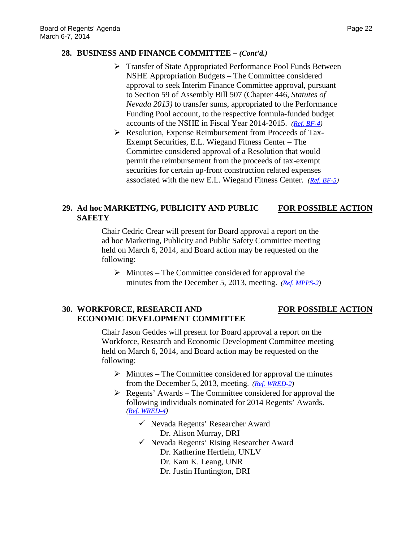# **28. BUSINESS AND FINANCE COMMITTEE –** *(Cont'd.)*

- Transfer of State Appropriated Performance Pool Funds Between NSHE Appropriation Budgets – The Committee considered approval to seek Interim Finance Committee approval, pursuant to Section 59 of Assembly Bill 507 (Chapter 446, *Statutes of Nevada 2013)* to transfer sums, appropriated to the Performance Funding Pool account, to the respective formula-funded budget accounts of the NSHE in Fiscal Year 2014-2015. *[\(Ref. BF-4\)](http://system.nevada.edu/tasks/sites/Nshe/assets/File/BoardOfRegents/Agendas/2014/mar-mtgs/bf-refs/BF-4.pdf)*
- Resolution, Expense Reimbursement from Proceeds of Tax-Exempt Securities, E.L. Wiegand Fitness Center – The Committee considered approval of a Resolution that would permit the reimbursement from the proceeds of tax-exempt securities for certain up-front construction related expenses associated with the new E.L. Wiegand Fitness Center. *[\(Ref. BF-5\)](http://system.nevada.edu/tasks/sites/Nshe/assets/File/BoardOfRegents/Agendas/2014/mar-mtgs/bf-refs/BF-5.pdf)*

### **29. Ad hoc MARKETING, PUBLICITY AND PUBLIC FOR POSSIBLE ACTION SAFETY**

Chair Cedric Crear will present for Board approval a report on the ad hoc Marketing, Publicity and Public Safety Committee meeting held on March 6, 2014, and Board action may be requested on the following:

 $\triangleright$  Minutes – The Committee considered for approval the minutes from the December 5, 2013, meeting. *[\(Ref. MPPS-2\)](http://system.nevada.edu/tasks/sites/Nshe/assets/File/BoardOfRegents/Agendas/2014/mar-mtgs/mpps-refs/MPPS-2.pdf)*

# **30. WORKFORCE, RESEARCH AND FOR POSSIBLE ACTION ECONOMIC DEVELOPMENT COMMITTEE**

Chair Jason Geddes will present for Board approval a report on the Workforce, Research and Economic Development Committee meeting held on March 6, 2014, and Board action may be requested on the following:

- $\triangleright$  Minutes The Committee considered for approval the minutes from the December 5, 2013, meeting. *[\(Ref. WRED-2\)](http://system.nevada.edu/tasks/sites/Nshe/assets/File/BoardOfRegents/Agendas/2014/mar-mtgs/wred-refs/WRED-2.pdf)*
- $\triangleright$  Regents' Awards The Committee considered for approval the following individuals nominated for 2014 Regents' Awards. *[\(Ref. WRED-4\)](http://system.nevada.edu/tasks/sites/Nshe/assets/File/BoardOfRegents/Agendas/2014/mar-mtgs/wred-refs/WRED-4.pdf)*
	- $\checkmark$  Nevada Regents' Researcher Award Dr. Alison Murray, DRI
	- $\checkmark$  Nevada Regents' Rising Researcher Award
		- Dr. Katherine Hertlein, UNLV
		- Dr. Kam K. Leang, UNR
		- Dr. Justin Huntington, DRI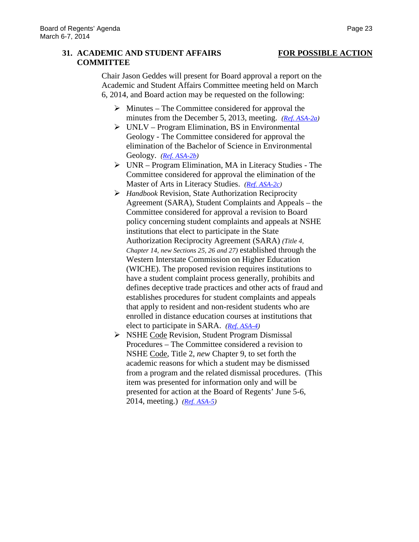# **31. ACADEMIC AND STUDENT AFFAIRS FOR POSSIBLE ACTION COMMITTEE**

Chair Jason Geddes will present for Board approval a report on the Academic and Student Affairs Committee meeting held on March 6, 2014, and Board action may be requested on the following:

- $\triangleright$  Minutes The Committee considered for approval the minutes from the December 5, 2013, meeting. *[\(Ref. ASA-2a\)](http://system.nevada.edu/tasks/sites/Nshe/assets/File/BoardOfRegents/Agendas/2014/mar-mtgs/asa-refs/ASA-2a.pdf)*
- $\triangleright$  UNLV Program Elimination, BS in Environmental Geology - The Committee considered for approval the elimination of the Bachelor of Science in Environmental Geology. *[\(Ref. ASA-2b\)](http://system.nevada.edu/tasks/sites/Nshe/assets/File/BoardOfRegents/Agendas/2014/mar-mtgs/asa-refs/ASA-2b.pdf)*
- $\triangleright$  UNR Program Elimination, MA in Literacy Studies The Committee considered for approval the elimination of the Master of Arts in Literacy Studies. *[\(Ref. ASA-2c\)](http://system.nevada.edu/tasks/sites/Nshe/assets/File/BoardOfRegents/Agendas/2014/mar-mtgs/asa-refs/ASA-2c.pdf)*
- *Handbook* Revision, State Authorization Reciprocity Agreement (SARA), Student Complaints and Appeals *–* the Committee considered for approval a revision to Board policy concerning student complaints and appeals at NSHE institutions that elect to participate in the State Authorization Reciprocity Agreement (SARA) *(Title 4, Chapter 14, new Sections 25, 26 and 27)* established through the Western Interstate Commission on Higher Education (WICHE). The proposed revision requires institutions to have a student complaint process generally, prohibits and defines deceptive trade practices and other acts of fraud and establishes procedures for student complaints and appeals that apply to resident and non-resident students who are enrolled in distance education courses at institutions that elect to participate in SARA. *[\(Ref. ASA-4\)](http://system.nevada.edu/tasks/sites/Nshe/assets/File/BoardOfRegents/Agendas/2014/mar-mtgs/asa-refs/ASA-4.pdf)*
- S NSHE Code Revision, Student Program Dismissal Procedures – The Committee considered a revision to NSHE Code, Title 2, *new* Chapter 9, to set forth the academic reasons for which a student may be dismissed from a program and the related dismissal procedures. (This item was presented for information only and will be presented for action at the Board of Regents' June 5-6, 2014, meeting.) *[\(Ref. ASA-5\)](http://system.nevada.edu/tasks/sites/Nshe/assets/File/BoardOfRegents/Agendas/2014/mar-mtgs/asa-refs/ASA-5.pdf)*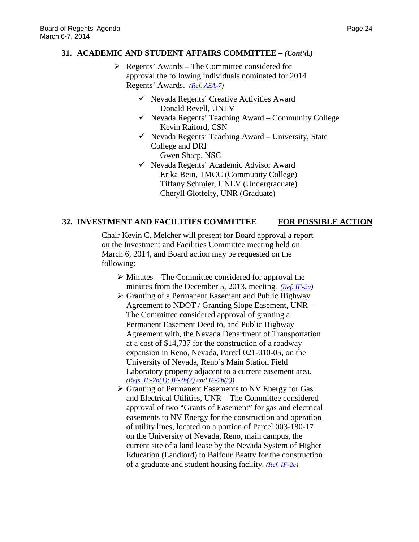### **31. ACADEMIC AND STUDENT AFFAIRS COMMITTEE –** *(Cont'd.)*

- $\triangleright$  Regents' Awards The Committee considered for approval the following individuals nominated for 2014 Regents' Awards. *[\(Ref. ASA-7\)](http://system.nevada.edu/tasks/sites/Nshe/assets/File/BoardOfRegents/Agendas/2014/mar-mtgs/asa-refs/ASA-7.pdf)*
	- $\checkmark$  Nevada Regents' Creative Activities Award Donald Revell, UNLV
	- $\checkmark$  Nevada Regents' Teaching Award Community College Kevin Raiford, CSN
	- $\checkmark$  Nevada Regents' Teaching Award University, State College and DRI Gwen Sharp, NSC
	- Nevada Regents' Academic Advisor Award Erika Bein, TMCC (Community College) Tiffany Schmier, UNLV (Undergraduate) Cheryll Glotfelty, UNR (Graduate)

### **32. INVESTMENT AND FACILITIES COMMITTEE FOR POSSIBLE ACTION**

Chair Kevin C. Melcher will present for Board approval a report on the Investment and Facilities Committee meeting held on March 6, 2014, and Board action may be requested on the following:

- $\triangleright$  Minutes The Committee considered for approval the minutes from the December 5, 2013, meeting. *[\(Ref. IF-2a\)](http://system.nevada.edu/tasks/sites/Nshe/assets/File/BoardOfRegents/Agendas/2014/mar-mtgs/if-refs/IF-2a.pdf)*
- $\triangleright$  Granting of a Permanent Easement and Public Highway Agreement to NDOT / Granting Slope Easement, UNR – The Committee considered approval of granting a Permanent Easement Deed to, and Public Highway Agreement with, the Nevada Department of Transportation at a cost of \$14,737 for the construction of a roadway expansion in Reno, Nevada, Parcel 021-010-05, on the University of Nevada, Reno's Main Station Field Laboratory property adjacent to a current easement area. *[\(Refs. IF-2b\(1\);](http://system.nevada.edu/tasks/sites/Nshe/assets/File/BoardOfRegents/Agendas/2014/mar-mtgs/if-refs/IF-2b(1).pdf) [IF-2b\(2\)](http://system.nevada.edu/tasks/sites/Nshe/assets/File/BoardOfRegents/Agendas/2014/mar-mtgs/if-refs/IF-2b(2).pdf) an[d IF-2b\(3\)\)](http://system.nevada.edu/tasks/sites/Nshe/assets/File/BoardOfRegents/Agendas/2014/mar-mtgs/if-refs/IF-2b(3).pdf)*
- Granting of Permanent Easements to NV Energy for Gas and Electrical Utilities, UNR – The Committee considered approval of two "Grants of Easement" for gas and electrical easements to NV Energy for the construction and operation of utility lines, located on a portion of Parcel 003-180-17 on the University of Nevada, Reno, main campus, the current site of a land lease by the Nevada System of Higher Education (Landlord) to Balfour Beatty for the construction of a graduate and student housing facility. *[\(Ref. IF-2c\)](http://system.nevada.edu/tasks/sites/Nshe/assets/File/BoardOfRegents/Agendas/2014/mar-mtgs/if-refs/IF-2c.pdf)*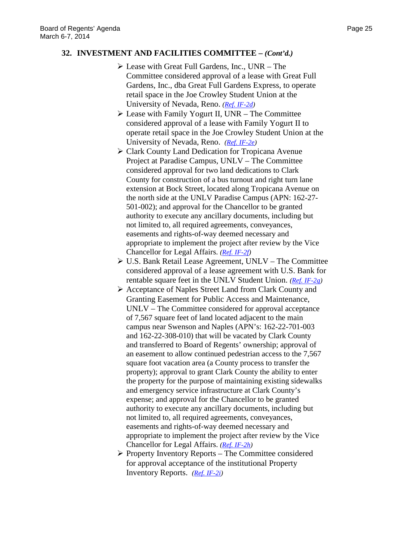# **32. INVESTMENT AND FACILITIES COMMITTEE –** *(Cont'd.)*

- Lease with Great Full Gardens, Inc., UNR The Committee considered approval of a lease with Great Full Gardens, Inc., dba Great Full Gardens Express, to operate retail space in the Joe Crowley Student Union at the University of Nevada, Reno. *[\(Ref. IF-2d\)](http://system.nevada.edu/tasks/sites/Nshe/assets/File/BoardOfRegents/Agendas/2014/mar-mtgs/if-refs/IF-2d.pdf)*
- $\triangleright$  Lease with Family Yogurt II, UNR The Committee considered approval of a lease with Family Yogurt II to operate retail space in the Joe Crowley Student Union at the University of Nevada, Reno. *[\(Ref. IF-2e\)](http://system.nevada.edu/tasks/sites/Nshe/assets/File/BoardOfRegents/Agendas/2014/mar-mtgs/if-refs/IF-2e.pdf)*
- Clark County Land Dedication for Tropicana Avenue Project at Paradise Campus, UNLV – The Committee considered approval for two land dedications to Clark County for construction of a bus turnout and right turn lane extension at Bock Street, located along Tropicana Avenue on the north side at the UNLV Paradise Campus (APN: 162-27- 501-002); and approval for the Chancellor to be granted authority to execute any ancillary documents, including but not limited to, all required agreements, conveyances, easements and rights-of-way deemed necessary and appropriate to implement the project after review by the Vice Chancellor for Legal Affairs. *[\(Ref. IF-2f\)](http://system.nevada.edu/tasks/sites/Nshe/assets/File/BoardOfRegents/Agendas/2014/mar-mtgs/if-refs/IF-2f.pdf)*
- U.S. Bank Retail Lease Agreement, UNLV The Committee considered approval of a lease agreement with U.S. Bank for rentable square feet in the UNLV Student Union. *[\(Ref. IF-2g\)](http://system.nevada.edu/tasks/sites/Nshe/assets/File/BoardOfRegents/Agendas/2014/mar-mtgs/if-refs/IF-2g.pdf)*
- Acceptance of Naples Street Land from Clark County and Granting Easement for Public Access and Maintenance, UNLV – The Committee considered for approval acceptance of 7,567 square feet of land located adjacent to the main campus near Swenson and Naples (APN's: 162-22-701-003 and 162-22-308-010) that will be vacated by Clark County and transferred to Board of Regents' ownership; approval of an easement to allow continued pedestrian access to the 7,567 square foot vacation area (a County process to transfer the property); approval to grant Clark County the ability to enter the property for the purpose of maintaining existing sidewalks and emergency service infrastructure at Clark County's expense; and approval for the Chancellor to be granted authority to execute any ancillary documents, including but not limited to, all required agreements, conveyances, easements and rights-of-way deemed necessary and appropriate to implement the project after review by the Vice Chancellor for Legal Affairs. *[\(Ref. IF-2h\)](http://system.nevada.edu/tasks/sites/Nshe/assets/File/BoardOfRegents/Agendas/2014/mar-mtgs/if-refs/IF-2h.pdf)*
- $\triangleright$  Property Inventory Reports The Committee considered for approval acceptance of the institutional Property Inventory Reports. *[\(Ref. IF-2i\)](http://system.nevada.edu/tasks/sites/Nshe/assets/File/BoardOfRegents/Agendas/2014/mar-mtgs/if-refs/IF-2i.pdf)*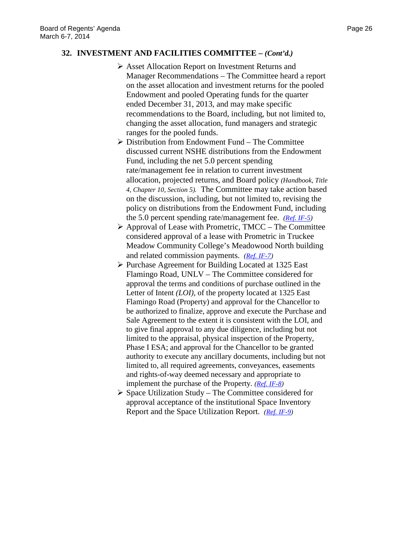### **32. INVESTMENT AND FACILITIES COMMITTEE –** *(Cont'd.)*

- Asset Allocation Report on Investment Returns and Manager Recommendations – The Committee heard a report on the asset allocation and investment returns for the pooled Endowment and pooled Operating funds for the quarter ended December 31, 2013, and may make specific recommendations to the Board, including, but not limited to, changing the asset allocation, fund managers and strategic ranges for the pooled funds.
- $\triangleright$  Distribution from Endowment Fund The Committee discussed current NSHE distributions from the Endowment Fund, including the net 5.0 percent spending rate/management fee in relation to current investment allocation, projected returns, and Board policy *(Handbook, Title 4, Chapter 10, Section 5).* The Committee may take action based on the discussion, including, but not limited to, revising the policy on distributions from the Endowment Fund, including the 5.0 percent spending rate/management fee. *[\(Ref. IF-5\)](http://system.nevada.edu/tasks/sites/Nshe/assets/File/BoardOfRegents/Agendas/2014/mar-mtgs/if-refs/IF-5.pdf)*
- $\triangleright$  Approval of Lease with Prometric, TMCC The Committee considered approval of a lease with Prometric in Truckee Meadow Community College's Meadowood North building and related commission payments. *[\(Ref. IF-7\)](http://system.nevada.edu/tasks/sites/Nshe/assets/File/BoardOfRegents/Agendas/2014/mar-mtgs/if-refs/IF-7.pdf)*
- $\triangleright$  Purchase Agreement for Building Located at 1325 East Flamingo Road, UNLV – The Committee considered for approval the terms and conditions of purchase outlined in the Letter of Intent *(LOI)*, of the property located at 1325 East Flamingo Road (Property) and approval for the Chancellor to be authorized to finalize, approve and execute the Purchase and Sale Agreement to the extent it is consistent with the LOI, and to give final approval to any due diligence, including but not limited to the appraisal, physical inspection of the Property, Phase I ESA; and approval for the Chancellor to be granted authority to execute any ancillary documents, including but not limited to, all required agreements, conveyances, easements and rights-of-way deemed necessary and appropriate to implement the purchase of the Property. *[\(Ref. IF-8\)](http://system.nevada.edu/tasks/sites/Nshe/assets/File/BoardOfRegents/Agendas/2014/mar-mtgs/if-refs/IF-8.pdf)*
- $\triangleright$  Space Utilization Study The Committee considered for approval acceptance of the institutional Space Inventory Report and the Space Utilization Report. *[\(Ref. IF-9\)](http://system.nevada.edu/tasks/sites/Nshe/assets/File/BoardOfRegents/Agendas/2014/mar-mtgs/if-refs/IF-9.pdf)*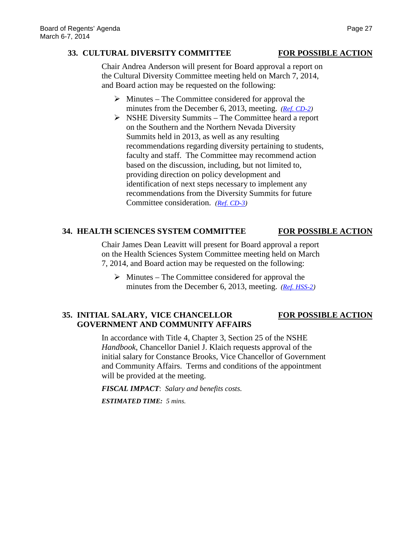### **33. CULTURAL DIVERSITY COMMITTEE FOR POSSIBLE ACTION**

Chair Andrea Anderson will present for Board approval a report on the Cultural Diversity Committee meeting held on March 7, 2014, and Board action may be requested on the following:

- $\triangleright$  Minutes The Committee considered for approval the minutes from the December 6, 2013, meeting. *[\(Ref. CD-2\)](http://system.nevada.edu/tasks/sites/Nshe/assets/File/BoardOfRegents/Agendas/2014/mar-mtgs/cd-refs/CD-2.pdf)*
- $\triangleright$  NSHE Diversity Summits The Committee heard a report on the Southern and the Northern Nevada Diversity Summits held in 2013, as well as any resulting recommendations regarding diversity pertaining to students, faculty and staff. The Committee may recommend action based on the discussion, including, but not limited to, providing direction on policy development and identification of next steps necessary to implement any recommendations from the Diversity Summits for future Committee consideration. *[\(Ref. CD-3\)](http://system.nevada.edu/tasks/sites/Nshe/assets/File/BoardOfRegents/Agendas/2014/mar-mtgs/cd-refs/CD-3.pdf)*

# **34. HEALTH SCIENCES SYSTEM COMMITTEE FOR POSSIBLE ACTION**

Chair James Dean Leavitt will present for Board approval a report on the Health Sciences System Committee meeting held on March 7, 2014, and Board action may be requested on the following:

 $\triangleright$  Minutes – The Committee considered for approval the minutes from the December 6, 2013, meeting. *[\(Ref. HSS-2\)](http://system.nevada.edu/tasks/sites/Nshe/assets/File/BoardOfRegents/Agendas/2014/mar-mtgs/hss-refs/HSS-2.pdf)*

# **35. INITIAL SALARY, VICE CHANCELLOR FOR POSSIBLE ACTION GOVERNMENT AND COMMUNITY AFFAIRS**

In accordance with Title 4, Chapter 3, Section 25 of the NSHE *Handbook*, Chancellor Daniel J. Klaich requests approval of the initial salary for Constance Brooks, Vice Chancellor of Government and Community Affairs. Terms and conditions of the appointment will be provided at the meeting.

*FISCAL IMPACT*: *Salary and benefits costs. ESTIMATED TIME: 5 mins.*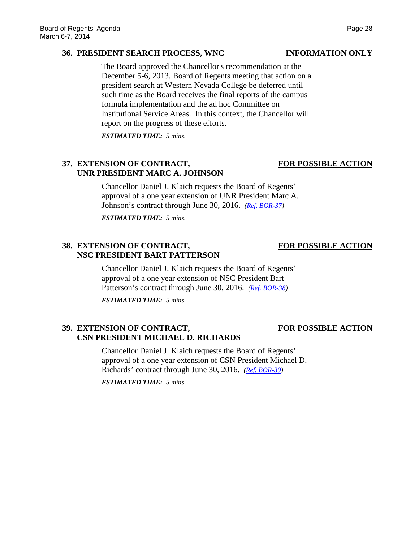### **36. PRESIDENT SEARCH PROCESS, WNC INFORMATION ONLY**

The Board approved the Chancellor's recommendation at the December 5-6, 2013, Board of Regents meeting that action on a president search at Western Nevada College be deferred until such time as the Board receives the final reports of the campus formula implementation and the ad hoc Committee on Institutional Service Areas. In this context, the Chancellor will report on the progress of these efforts.

*ESTIMATED TIME: 5 mins.*

# **37. EXTENSION OF CONTRACT, FOR POSSIBLE ACTION UNR PRESIDENT MARC A. JOHNSON**

Chancellor Daniel J. Klaich requests the Board of Regents' approval of a one year extension of UNR President Marc A. Johnson's contract through June 30, 2016. *[\(Ref. BOR-37\)](http://system.nevada.edu/tasks/sites/Nshe/assets/File/BoardOfRegents/Agendas/2014/mar-mtgs/bor-refs/BOR-37.pdf)*

*ESTIMATED TIME: 5 mins.*

# **38. EXTENSION OF CONTRACT, FOR POSSIBLE ACTION NSC PRESIDENT BART PATTERSON**

Chancellor Daniel J. Klaich requests the Board of Regents' approval of a one year extension of NSC President Bart Patterson's contract through June 30, 2016. *[\(Ref. BOR-38\)](http://system.nevada.edu/tasks/sites/Nshe/assets/File/BoardOfRegents/Agendas/2014/mar-mtgs/bor-refs/BOR-38.pdf)*

*ESTIMATED TIME: 5 mins.*

# **39. EXTENSION OF CONTRACT, FOR POSSIBLE ACTION CSN PRESIDENT MICHAEL D. RICHARDS**

Chancellor Daniel J. Klaich requests the Board of Regents' approval of a one year extension of CSN President Michael D. Richards' contract through June 30, 2016. *[\(Ref. BOR-39\)](http://system.nevada.edu/tasks/sites/Nshe/assets/File/BoardOfRegents/Agendas/2014/mar-mtgs/bor-refs/BOR-39.pdf)*

*ESTIMATED TIME: 5 mins.*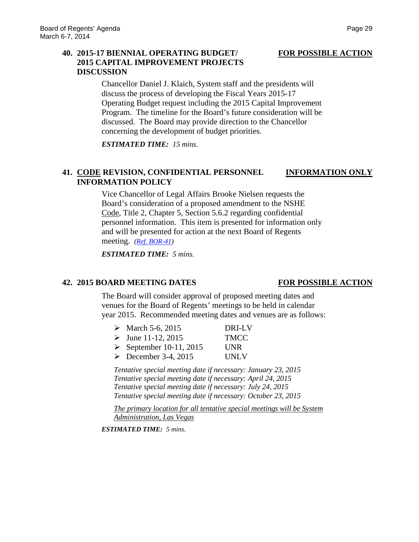# **40. 2015-17 BIENNIAL OPERATING BUDGET/ FOR POSSIBLE ACTION 2015 CAPITAL IMPROVEMENT PROJECTS DISCUSSION**

Chancellor Daniel J. Klaich, System staff and the presidents will discuss the process of developing the Fiscal Years 2015-17 Operating Budget request including the 2015 Capital Improvement Program. The timeline for the Board's future consideration will be discussed. The Board may provide direction to the Chancellor concerning the development of budget priorities.

*ESTIMATED TIME: 15 mins.*

# **41. CODE REVISION, CONFIDENTIAL PERSONNEL INFORMATION ONLY INFORMATION POLICY**

Vice Chancellor of Legal Affairs Brooke Nielsen requests the Board's consideration of a proposed amendment to the NSHE Code, Title 2, Chapter 5, Section 5.6.2 regarding confidential personnel information. This item is presented for information only and will be presented for action at the next Board of Regents meeting. *[\(Ref. BOR-41\)](http://system.nevada.edu/tasks/sites/Nshe/assets/File/BoardOfRegents/Agendas/2014/mar-mtgs/bor-refs/BOR-41.pdf)*

*ESTIMATED TIME: 5 mins.*

### **42. 2015 BOARD MEETING DATES FOR POSSIBLE ACTION**

The Board will consider approval of proposed meeting dates and venues for the Board of Regents' meetings to be held in calendar year 2015. Recommended meeting dates and venues are as follows:

| • March 5-6, 2015                      | DRI-LV      |
|----------------------------------------|-------------|
| $\triangleright$ June 11-12, 2015      | <b>TMCC</b> |
| $\triangleright$ September 10-11, 2015 | <b>UNR</b>  |
| $\triangleright$ December 3-4, 2015    | <b>UNLV</b> |

*Tentative special meeting date if necessary: January 23, 2015 Tentative special meeting date if necessary: April 24, 2015 Tentative special meeting date if necessary: July 24, 2015 Tentative special meeting date if necessary: October 23, 2015*

*The primary location for all tentative special meetings will be System Administration, Las Vegas*

*ESTIMATED TIME: 5 mins.*